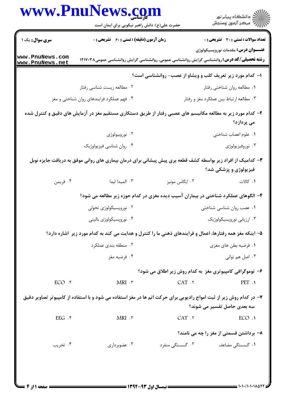| <b>سری سوال :</b> یک ۱<br><b>زمان آزمون (دقیقه) : تستی : 60 ٪ تشریحی : 0</b><br>www.PnuNews.com<br><b>رشته تحصیلی/کد درس: روان</b> شناسی گرایش روانشناسی عمومی، روانشناسی گرایش روانشناسی عمومی۱۲۱۷۰۳۸<br>www.PnuNews.net<br>۱- کدام مورد زیر تعریف کلب و ویشاو از عصب- روانشناسی است؟<br>۰۲ مطالعه زیست شناسی رفتار<br>۰۳ مطالعه ارتباط بين عملكرد مغز و رفتار<br>۰۴ فهم عملکرد فرایندهای روان شناختی و مغز<br>۲– کدام مورد زیر به مطالعه مکانیسم های عصبی رفتار از طریق دستکاری مستقیم مغز در آزمایش های دقیق و کنترل شده<br>۰۲ نوروبيولوژي<br>۰۴ روان شناسی فیزیولوژیک<br>۳- کدامیک از افراد زیر بواسطه کشف قطعه بری پیش پیشانی برای درمان بیماری های روانی موفق به دریافت جایزه نوبل<br>۰۴ فريمن<br>۰۳ المیدا لیدا<br>۰۲ ایگاس مونیز<br>۴- الگوهای عملکرد شناختی در بیماران آسیب دیده مغزی در کدام حوزه زیر مطالعه می شود؟<br>۰۲ نوروپسیکولوژی تحولی<br>۰۱ عصب روان شناسی شناختی<br>۰۴ نوروپسیکولوژی بالینی<br>۵– اینکه مغز همه رفتارها، اعمال و فرایندهای ذهنی ما را کنترل و هدایت می کند به کدام مورد زیر اشاره دارد؟<br>۰۲ منطقه بندی عملکرد<br>۰۴ فرضيه مغز<br>۶- توموگرافی کامپیوتری مغز به کدام روش زیر اطلاق می شود؟<br>$ECO$ . $f$<br>$MRI \cdot r$<br>CAT.7<br>۷- در کدام روش زیر از ثبت امواج رادیویی برای حرکت اتم ها در مغز استفاده می شود و با استفاده از کامپیوتر تصاویر دقیق<br>سه بعدی حاصل تفسیر می شوند؟<br>$MRI \cdot \tilde{r}$<br>EEG.<br>CAT.7<br>۸– برداشتن قسمتی از مغز را چه می نامند؟ | www.PnuNews.com | حضرت علی(ع): دانش راهبر نیکویی برای ایمان است | ڪ دانشڪاه پيام نور<br>∕7 مرڪز آزمون وسنڊش    |
|---------------------------------------------------------------------------------------------------------------------------------------------------------------------------------------------------------------------------------------------------------------------------------------------------------------------------------------------------------------------------------------------------------------------------------------------------------------------------------------------------------------------------------------------------------------------------------------------------------------------------------------------------------------------------------------------------------------------------------------------------------------------------------------------------------------------------------------------------------------------------------------------------------------------------------------------------------------------------------------------------------------------------------------------------------------------------------------------------------------------------------------------------------------------------------------------------------------------------------------------------------------------------------------------------------------------------------------------------------------------------------------------------------------------|-----------------|-----------------------------------------------|----------------------------------------------|
|                                                                                                                                                                                                                                                                                                                                                                                                                                                                                                                                                                                                                                                                                                                                                                                                                                                                                                                                                                                                                                                                                                                                                                                                                                                                                                                                                                                                                     |                 |                                               | <b>تعداد سوالات : تستی : 30 ٪ تشریحی : 0</b> |
|                                                                                                                                                                                                                                                                                                                                                                                                                                                                                                                                                                                                                                                                                                                                                                                                                                                                                                                                                                                                                                                                                                                                                                                                                                                                                                                                                                                                                     |                 |                                               | <b>عنـــوان درس:</b> مقدمات نوروپسیکولوژی    |
|                                                                                                                                                                                                                                                                                                                                                                                                                                                                                                                                                                                                                                                                                                                                                                                                                                                                                                                                                                                                                                                                                                                                                                                                                                                                                                                                                                                                                     |                 |                                               |                                              |
|                                                                                                                                                                                                                                                                                                                                                                                                                                                                                                                                                                                                                                                                                                                                                                                                                                                                                                                                                                                                                                                                                                                                                                                                                                                                                                                                                                                                                     |                 |                                               | ۰۱ مطالعه روان شناختی رفتار                  |
|                                                                                                                                                                                                                                                                                                                                                                                                                                                                                                                                                                                                                                                                                                                                                                                                                                                                                                                                                                                                                                                                                                                                                                                                                                                                                                                                                                                                                     |                 |                                               |                                              |
|                                                                                                                                                                                                                                                                                                                                                                                                                                                                                                                                                                                                                                                                                                                                                                                                                                                                                                                                                                                                                                                                                                                                                                                                                                                                                                                                                                                                                     |                 |                                               | می پردازد؟                                   |
|                                                                                                                                                                                                                                                                                                                                                                                                                                                                                                                                                                                                                                                                                                                                                                                                                                                                                                                                                                                                                                                                                                                                                                                                                                                                                                                                                                                                                     |                 |                                               | ٠١. علوم اعصاب شناختى                        |
|                                                                                                                                                                                                                                                                                                                                                                                                                                                                                                                                                                                                                                                                                                                                                                                                                                                                                                                                                                                                                                                                                                                                                                                                                                                                                                                                                                                                                     |                 |                                               | ۰۳ نوروفيزيولوژي                             |
|                                                                                                                                                                                                                                                                                                                                                                                                                                                                                                                                                                                                                                                                                                                                                                                                                                                                                                                                                                                                                                                                                                                                                                                                                                                                                                                                                                                                                     |                 |                                               | فیزیولوژی و پزشکی شد؟                        |
|                                                                                                                                                                                                                                                                                                                                                                                                                                                                                                                                                                                                                                                                                                                                                                                                                                                                                                                                                                                                                                                                                                                                                                                                                                                                                                                                                                                                                     |                 |                                               | ۰۱ کالات                                     |
|                                                                                                                                                                                                                                                                                                                                                                                                                                                                                                                                                                                                                                                                                                                                                                                                                                                                                                                                                                                                                                                                                                                                                                                                                                                                                                                                                                                                                     |                 |                                               |                                              |
|                                                                                                                                                                                                                                                                                                                                                                                                                                                                                                                                                                                                                                                                                                                                                                                                                                                                                                                                                                                                                                                                                                                                                                                                                                                                                                                                                                                                                     |                 |                                               |                                              |
|                                                                                                                                                                                                                                                                                                                                                                                                                                                                                                                                                                                                                                                                                                                                                                                                                                                                                                                                                                                                                                                                                                                                                                                                                                                                                                                                                                                                                     |                 |                                               | ۰۳ ارزیابی نوروپسیکولوژیک                    |
|                                                                                                                                                                                                                                                                                                                                                                                                                                                                                                                                                                                                                                                                                                                                                                                                                                                                                                                                                                                                                                                                                                                                                                                                                                                                                                                                                                                                                     |                 |                                               |                                              |
|                                                                                                                                                                                                                                                                                                                                                                                                                                                                                                                                                                                                                                                                                                                                                                                                                                                                                                                                                                                                                                                                                                                                                                                                                                                                                                                                                                                                                     |                 |                                               | ۰۱ فرضیه بطن های مغزی                        |
|                                                                                                                                                                                                                                                                                                                                                                                                                                                                                                                                                                                                                                                                                                                                                                                                                                                                                                                                                                                                                                                                                                                                                                                                                                                                                                                                                                                                                     |                 |                                               | ۰۳ اصل هم توانی                              |
|                                                                                                                                                                                                                                                                                                                                                                                                                                                                                                                                                                                                                                                                                                                                                                                                                                                                                                                                                                                                                                                                                                                                                                                                                                                                                                                                                                                                                     |                 |                                               |                                              |
|                                                                                                                                                                                                                                                                                                                                                                                                                                                                                                                                                                                                                                                                                                                                                                                                                                                                                                                                                                                                                                                                                                                                                                                                                                                                                                                                                                                                                     |                 |                                               | PET.1                                        |
|                                                                                                                                                                                                                                                                                                                                                                                                                                                                                                                                                                                                                                                                                                                                                                                                                                                                                                                                                                                                                                                                                                                                                                                                                                                                                                                                                                                                                     |                 |                                               |                                              |
|                                                                                                                                                                                                                                                                                                                                                                                                                                                                                                                                                                                                                                                                                                                                                                                                                                                                                                                                                                                                                                                                                                                                                                                                                                                                                                                                                                                                                     |                 |                                               | ECO.1                                        |
|                                                                                                                                                                                                                                                                                                                                                                                                                                                                                                                                                                                                                                                                                                                                                                                                                                                                                                                                                                                                                                                                                                                                                                                                                                                                                                                                                                                                                     |                 |                                               |                                              |
| ۰۲ گسستگی منفرد<br>۰۴ تخریب<br>۰۳ عضوبرداری                                                                                                                                                                                                                                                                                                                                                                                                                                                                                                                                                                                                                                                                                                                                                                                                                                                                                                                                                                                                                                                                                                                                                                                                                                                                                                                                                                         |                 |                                               | ۰۱ گسستگی مضاعف                              |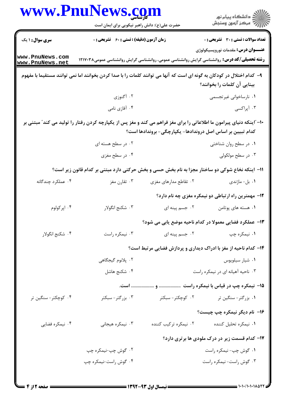|                                    | www.PnuNews.com<br>حضرت علی(ع): دانش راهبر نیکویی برای ایمان است                                                       |                                                            | ڪ دانشڪاه پيام نور<br>//> مرڪز آزمون وسنجش                      |
|------------------------------------|------------------------------------------------------------------------------------------------------------------------|------------------------------------------------------------|-----------------------------------------------------------------|
| <b>سری سوال : ۱ یک</b>             | <b>زمان آزمون (دقیقه) : تستی : 60 ٪ تشریحی : 0</b>                                                                     |                                                            | <b>تعداد سوالات : تستی : 30 ٪ تشریحی : 0</b>                    |
| www.PnuNews.com<br>www.PnuNews.net | <b>رشته تحصیلی/کد درس:</b> روانشناسی گرایش روانشناسی عمومی، روانشناسی گرایش روانشناسی عمومی۱۲۱۷۰۳۸                     |                                                            | <b>عنـــوان درس:</b> مقدمات نوروپسیکولوژی                       |
|                                    | ۹– کدام اختلال در کودکان به گونه ای است که آنها می توانند کلمات را با صدا کردن بخوانند اما نمی توانند مستقیما با مفهوم |                                                            | بینایی آن کلمات را بخوانند؟                                     |
|                                    | ۰۲ آگنوزی                                                                                                              |                                                            | ۰۱ نارساخوانی غیرتجسمی                                          |
|                                    | ۰۴ آفازي نامي                                                                                                          |                                                            | ۰۳ آپراکسی                                                      |
|                                    | ۱۰– ّاینکه دنیای پیرامون ما اطلاعاتی را برای مغز فراهم می کند و مغز پس از یکپارچه کردن رفتار را تولید می کند″ مبتنی بر | كدام تبيين بر اساس اصل دروندادها- يكپارچگي- بروندادها است؟ |                                                                 |
|                                    | ۰۲ در سطح هسته ای                                                                                                      |                                                            | ۰۱ در سطح روان شناختی                                           |
|                                    | ۰۴ در سطح مغزی                                                                                                         |                                                            | ۰۳ در سطح مولکولی                                               |
|                                    | 11- اینکه نخاع شوکی دو ساختار مجزا به نام بخش حسی و بخش حرکتی دارد مبتنی بر کدام قانون زیر است؟                        |                                                            |                                                                 |
| ۰۴ عملکرد چندگانه                  | ۰۳ تقارن مغز                                                                                                           | ۰۲ تقاطع مدارهای مغزی                                      | ۰۱ بل- ماژندی                                                   |
|                                    |                                                                                                                        |                                                            | ۱۲- مهمترین راه ارتباطی دو نیمکره مغزی چه نام دارد؟             |
| ۰۴ اپرکولوم                        | ۰۳ شکنج انگولار                                                                                                        | ۰۲ جسم پینه ای                                             | ۰۱ هسته های پوتامن                                              |
|                                    |                                                                                                                        |                                                            | ۱۳– عملکرد فضایی معمولا در کدام ناحیه موضع یابی می شود؟         |
| ۰۴ شکنج انگولار                    | ۰۳ نیمکره راست                                                                                                         | ۰۲ جسم پینه ای                                             | ۰۱ نیمکره چپ                                                    |
|                                    |                                                                                                                        |                                                            | ۱۴- کدام ناحیه از مغز با ادراک دیداری و پردازش فضایی مرتبط است؟ |
|                                    | ٢. پلانوم گيجگاهي                                                                                                      |                                                            | ٠١ شيار سيلويوس                                                 |
|                                    | ۰۴ شکنج هاشل                                                                                                           |                                                            | ۰۳ ناحیه آهیانه ای در نیمکره راست                               |
|                                    |                                                                                                                        |                                                            |                                                                 |
| ۰۴ کوچکتر- سنگین تر                | ۰۳ بزرگتر-سبکتر                                                                                                        | ۰۲ کوچکتر- سبکتر                                           | ۰۱ بزرگتر- سنگین تر                                             |
|                                    |                                                                                                                        |                                                            | ۱۶- نام دیگر نیمکره چپ چیست؟                                    |
| ۰۴ نیمکره فضایی                    | ۰۳ نیمکره هیجانی                                                                                                       | ۰۲ نیمکره ترکیب کننده                                      | ٠١ نيمكره تحليل كننده                                           |
|                                    |                                                                                                                        |                                                            | <b>۱۷- کدام قسمت زیر در درک ملودی ها برتری دارد؟</b>            |
|                                    | ۰۲ گوش چپ-نیمکره چپ                                                                                                    |                                                            | ۰۱ گوش چپ- نیمکره راست                                          |
|                                    | ۰۴ گوش راست-نیمکره چپ                                                                                                  |                                                            | ۰۳ گوش راست- نیمکره راست                                        |
|                                    |                                                                                                                        |                                                            |                                                                 |

 $\blacksquare$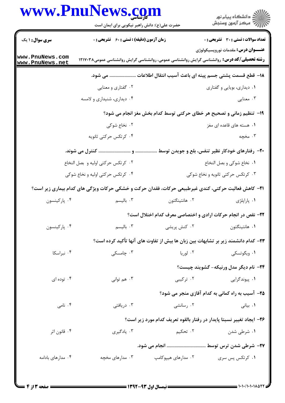|                                    | حضرت علی(ع): دانش راهبر نیکویی برای ایمان است                                                              |                                                                                   | ر<br>دانشڪاه پيام نور)<br>ا∛ مرڪز آزمون وسنڊش |
|------------------------------------|------------------------------------------------------------------------------------------------------------|-----------------------------------------------------------------------------------|-----------------------------------------------|
| <b>سری سوال : ۱ یک</b>             | زمان آزمون (دقیقه) : تستی : 60 ٪ تشریحی : 0                                                                |                                                                                   | <b>تعداد سوالات : تستی : 30 ٪ تشریحی : 0</b>  |
| www.PnuNews.com<br>www.PnuNews.net | <b>رشته تحصیلی/کد درس:</b> روانشناسی گرایش روانشناسی عمومی، روانشناسی گرایش روانشناسی عمومی۱۲۱۷۰۳۸         |                                                                                   | <b>عنـــوان درس:</b> مقدمات نوروپسیکولوژی     |
|                                    |                                                                                                            | ۱۸− قطع قسمت پشتی جسم پینه ای باعث آسیب انتقال اطلاعات  می شود.                   |                                               |
|                                    | ۰۲ گفتاري و معنايي                                                                                         |                                                                                   | ۰۱ دیداری، بویایی و گفتاری                    |
|                                    | ۰۴ دیداری، شنیداری و لامسه                                                                                 |                                                                                   | ۰۳ معنایی                                     |
|                                    |                                                                                                            | ۱۹- تنظیم زمانی و تصحیح هر خطای حرکتی توسط کدام بخش مغز انجام می شود؟             |                                               |
|                                    | ۰۲ نخاع شوکی                                                                                               |                                                                                   | ۰۱ هسته های قاعده ای مغز                      |
|                                    | ۰۴ کرتکس حرکتی ثانویه                                                                                      |                                                                                   | ۰۳ مخچه                                       |
|                                    |                                                                                                            |                                                                                   |                                               |
|                                    | ٠٢ كرتكس حركتى اوليه و بصل النخاع                                                                          |                                                                                   | ۰۱ نخاع شوكى و بصل النخاع                     |
|                                    | ۰۴ کرتکس حرکتی اولیه و نخاع شوکی                                                                           |                                                                                   | ۰۳ کرتکس حرکتی ثانویه و نخاع شوکی             |
|                                    | <b>۲۱</b> - کاهش فعالیت حرکتی، کندی غیرطبیعی حرکات، فقدان حرکت و خشکی حرکات ویژگی های کدام بیماری زیر است؟ |                                                                                   |                                               |
| ۰۴ پارکینسون                       | ۰۳ بالیسم                                                                                                  | ۰۲ هانتینگتون                                                                     | ۰۱ پاراپلژی                                   |
|                                    |                                                                                                            | ۲۲- نقص در انجام حرکات ارادی و اختصاصی معرف کدام اختلال است؟                      |                                               |
| ۰۴ پارکینسون                       | ۰۳ بالیسم                                                                                                  | ۰۲ کنش پریشی                                                                      | ۰۱ هانتينگتون                                 |
|                                    |                                                                                                            | ۲۳– کدام دانشمند زیر بر تشابهات بین زبان ها بیش از تفاوت های آنها تأکید کرده است؟ |                                               |
| ۰۴ نبراسکا                         | ۰۳ چامسکی                                                                                                  | ۰۲ لوريا                                                                          | ۰۱ ویگوتسکی                                   |
|                                    |                                                                                                            |                                                                                   | <b>۲۴</b> - نام دیگر مدل ورنیکه- گشویند چیست؟ |
| ۰۴ توده ای                         | ۰۳ هم توانی                                                                                                | ۰۲ ترکیبی                                                                         | ۰۱ پیوندگرای <sub>ی</sub>                     |
|                                    |                                                                                                            | ۲۵– آسیب به راه کمانی به کدام آفازی منجر می شود؟                                  |                                               |
| ۰۴ نامی                            | ۰۳ دریافتی                                                                                                 | ۰۲ رسانشی                                                                         | ۰۱ بیانی                                      |
|                                    |                                                                                                            | ۲۶– ایجاد تغییر نسبتا پایدار در رفتار بالقوه تعریف کدام مورد زیر است؟             |                                               |
| ۰۴ قانون اثر                       | ۰۳ يادگيري                                                                                                 | ۲. تحکیم                                                                          | ۰۱ شرطی شدن                                   |
|                                    |                                                                                                            | ۲۷- شرطی شدن ترس توسط  انجام می شود.                                              |                                               |
| ۰۴ مدارهای بادامه                  | ۰۳ مدارهای مخچه                                                                                            | ۰۲ مدارهای هیپوکامپ                                                               | ۰۱ کرتکس پس سری                               |